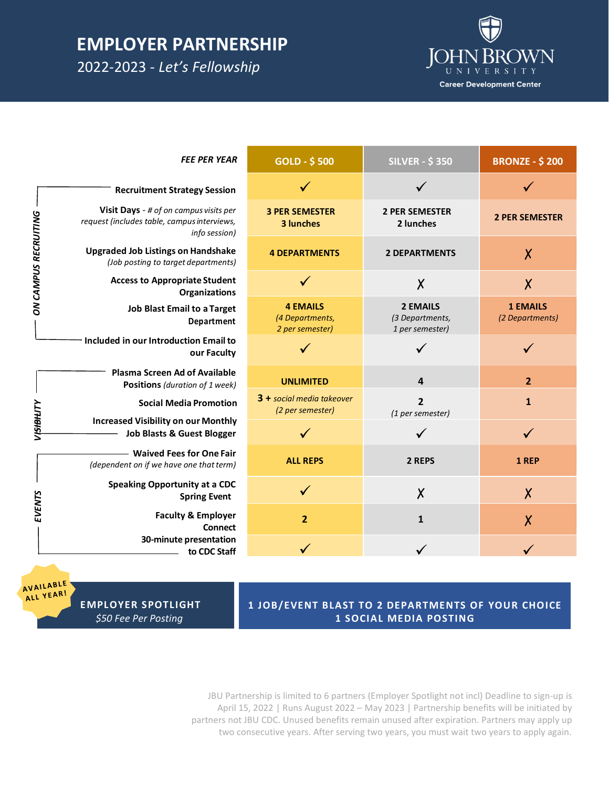# **EMPLOYER PARTNERSHIP**

2022-2023 - *Let's Fellowship*



|                                           | <b>FEE PER YEAR</b>                                                                                    | GOLD - \$500                                          | <b>SILVER - \$350</b>                                 | <b>BRONZE - \$200</b>              |
|-------------------------------------------|--------------------------------------------------------------------------------------------------------|-------------------------------------------------------|-------------------------------------------------------|------------------------------------|
| ON CAMPUS RECRUITING<br><b>VISTBILITY</b> | <b>Recruitment Strategy Session</b>                                                                    |                                                       |                                                       |                                    |
|                                           | Visit Days - # of on campus visits per<br>request (includes table, campus interviews,<br>info session) | <b>3 PER SEMESTER</b><br>3 lunches                    | <b>2 PER SEMESTER</b><br>2 lunches                    | <b>2 PER SEMESTER</b>              |
|                                           | <b>Upgraded Job Listings on Handshake</b><br>(Job posting to target departments)                       | <b>4 DEPARTMENTS</b>                                  | <b>2 DEPARTMENTS</b>                                  | X                                  |
|                                           | <b>Access to Appropriate Student</b><br><b>Organizations</b>                                           |                                                       | X                                                     | $\sf X$                            |
|                                           | <b>Job Blast Email to a Target</b><br><b>Department</b>                                                | <b>4 EMAILS</b><br>(4 Departments,<br>2 per semester) | <b>2 EMAILS</b><br>(3 Departments,<br>1 per semester) | <b>1 EMAILS</b><br>(2 Departments) |
|                                           | Included in our Introduction Email to<br>our Faculty                                                   |                                                       |                                                       |                                    |
|                                           | Plasma Screen Ad of Available<br><b>Positions</b> (duration of 1 week)                                 | <b>UNLIMITED</b>                                      | 4                                                     | $\overline{2}$                     |
|                                           | <b>Social Media Promotion</b>                                                                          | 3 + social media takeover<br>(2 per semester)         | $\overline{2}$<br>(1 per semester)                    | $\mathbf{1}$                       |
|                                           | <b>Increased Visibility on our Monthly</b><br><b>Job Blasts &amp; Guest Blogger</b>                    |                                                       |                                                       |                                    |
| EVENTS                                    | - Waived Fees for One Fair<br>(dependent on if we have one that term)                                  | <b>ALL REPS</b>                                       | 2 REPS                                                | 1 REP                              |
|                                           | <b>Speaking Opportunity at a CDC</b><br><b>Spring Event</b>                                            | $\checkmark$                                          | $\sf X$                                               | $\sf X$                            |
|                                           | <b>Faculty &amp; Employer</b><br><b>Connect</b>                                                        | $\overline{2}$                                        | $\mathbf{1}$                                          | X                                  |
|                                           | 30-minute presentation<br>to CDC Staff                                                                 | $\checkmark$                                          | ✓                                                     |                                    |

AVAILABLE AVAILADET  **EMPLOYER SPOTLIGHT**  *\$50 Fee Per Posting*

**1 JOB/EVENT BLAST TO 2 DEPARTMENTS OF YOUR CHOICE 1 SOCIAL MEDIA POSTING**

JBU Partnership is limited to 6 partners (Employer Spotlight not incl) Deadline to sign-up is April 15, 2022 | Runs August 2022 – May 2023 | Partnership benefits will be initiated by partners not JBU CDC. Unused benefits remain unused after expiration. Partners may apply up two consecutive years. After serving two years, you must wait two years to apply again.